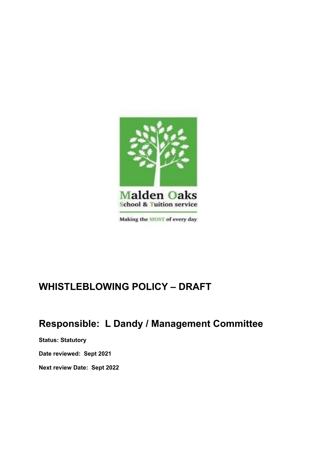

# **WHISTLEBLOWING POLICY – DRAFT**

## **Responsible: L Dandy / Management Committee**

**Status: Statutory**

**Date reviewed: Sept 2021**

**Next review Date: Sept 2022**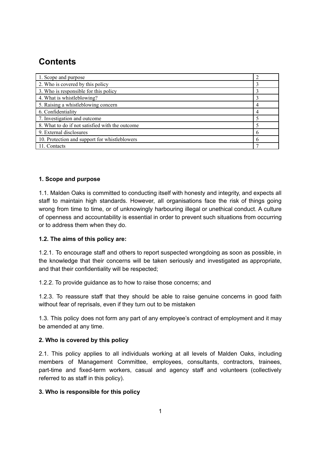## **Contents**

| 1. Scope and purpose                            |   |
|-------------------------------------------------|---|
| 2. Who is covered by this policy                |   |
| 3. Who is responsible for this policy           |   |
| 4. What is whistleblowing?                      |   |
| 5. Raising a whistleblowing concern             | 4 |
| 6. Confidentiality                              |   |
| 7. Investigation and outcome                    |   |
| 8. What to do if not satisfied with the outcome |   |
| 9. External disclosures                         | h |
| 10. Protection and support for whistleblowers   | b |
| 11. Contacts                                    |   |

### **1. Scope and purpose**

1.1. Malden Oaks is committed to conducting itself with honesty and integrity, and expects all staff to maintain high standards. However, all organisations face the risk of things going wrong from time to time, or of unknowingly harbouring illegal or unethical conduct. A culture of openness and accountability is essential in order to prevent such situations from occurring or to address them when they do.

#### **1.2. The aims of this policy are:**

1.2.1. To encourage staff and others to report suspected wrongdoing as soon as possible, in the knowledge that their concerns will be taken seriously and investigated as appropriate, and that their confidentiality will be respected;

1.2.2. To provide guidance as to how to raise those concerns; and

1.2.3. To reassure staff that they should be able to raise genuine concerns in good faith without fear of reprisals, even if they turn out to be mistaken

1.3. This policy does not form any part of any employee's contract of employment and it may be amended at any time.

#### **2. Who is covered by this policy**

2.1. This policy applies to all individuals working at all levels of Malden Oaks, including members of Management Committee, employees, consultants, contractors, trainees, part-time and fixed-term workers, casual and agency staff and volunteers (collectively referred to as staff in this policy).

#### **3. Who is responsible for this policy**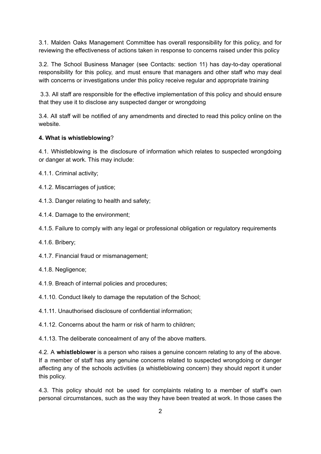3.1. Malden Oaks Management Committee has overall responsibility for this policy, and for reviewing the effectiveness of actions taken in response to concerns raised under this policy

3.2. The School Business Manager (see Contacts: section 11) has day-to-day operational responsibility for this policy, and must ensure that managers and other staff who may deal with concerns or investigations under this policy receive regular and appropriate training

3.3. All staff are responsible for the effective implementation of this policy and should ensure that they use it to disclose any suspected danger or wrongdoing

3.4. All staff will be notified of any amendments and directed to read this policy online on the website.

#### **4. What is whistleblowing**?

4.1. Whistleblowing is the disclosure of information which relates to suspected wrongdoing or danger at work. This may include:

4.1.1. Criminal activity;

4.1.2. Miscarriages of justice;

4.1.3. Danger relating to health and safety;

4.1.4. Damage to the environment;

4.1.5. Failure to comply with any legal or professional obligation or regulatory requirements

4.1.6. Bribery;

4.1.7. Financial fraud or mismanagement;

4.1.8. Negligence;

4.1.9. Breach of internal policies and procedures;

4.1.10. Conduct likely to damage the reputation of the School;

4.1.11. Unauthorised disclosure of confidential information;

4.1.12. Concerns about the harm or risk of harm to children;

4.1.13. The deliberate concealment of any of the above matters.

4.2. A **whistleblower** is a person who raises a genuine concern relating to any of the above. If a member of staff has any genuine concerns related to suspected wrongdoing or danger affecting any of the schools activities (a whistleblowing concern) they should report it under this policy.

4.3. This policy should not be used for complaints relating to a member of staff's own personal circumstances, such as the way they have been treated at work. In those cases the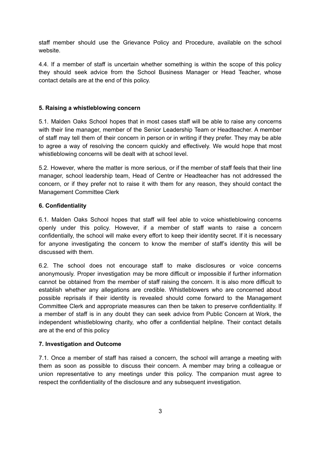staff member should use the Grievance Policy and Procedure, available on the school website.

4.4. If a member of staff is uncertain whether something is within the scope of this policy they should seek advice from the School Business Manager or Head Teacher, whose contact details are at the end of this policy.

#### **5. Raising a whistleblowing concern**

5.1. Malden Oaks School hopes that in most cases staff will be able to raise any concerns with their line manager, member of the Senior Leadership Team or Headteacher. A member of staff may tell them of their concern in person or in writing if they prefer. They may be able to agree a way of resolving the concern quickly and effectively. We would hope that most whistleblowing concerns will be dealt with at school level.

5.2. However, where the matter is more serious, or if the member of staff feels that their line manager, school leadership team, Head of Centre or Headteacher has not addressed the concern, or if they prefer not to raise it with them for any reason, they should contact the Management Committee Clerk

#### **6. Confidentiality**

6.1. Malden Oaks School hopes that staff will feel able to voice whistleblowing concerns openly under this policy. However, if a member of staff wants to raise a concern confidentially, the school will make every effort to keep their identity secret. If it is necessary for anyone investigating the concern to know the member of staff's identity this will be discussed with them.

6.2. The school does not encourage staff to make disclosures or voice concerns anonymously. Proper investigation may be more difficult or impossible if further information cannot be obtained from the member of staff raising the concern. It is also more difficult to establish whether any allegations are credible. Whistleblowers who are concerned about possible reprisals if their identity is revealed should come forward to the Management Committee Clerk and appropriate measures can then be taken to preserve confidentiality. If a member of staff is in any doubt they can seek advice from Public Concern at Work, the independent whistleblowing charity, who offer a confidential helpline. Their contact details are at the end of this policy

### **7. Investigation and Outcome**

7.1. Once a member of staff has raised a concern, the school will arrange a meeting with them as soon as possible to discuss their concern. A member may bring a colleague or union representative to any meetings under this policy. The companion must agree to respect the confidentiality of the disclosure and any subsequent investigation.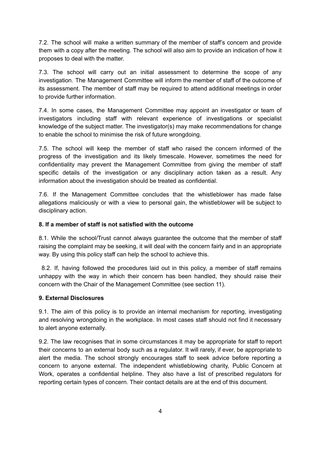7.2. The school will make a written summary of the member of staff's concern and provide them with a copy after the meeting. The school will also aim to provide an indication of how it proposes to deal with the matter.

7.3. The school will carry out an initial assessment to determine the scope of any investigation. The Management Committee will inform the member of staff of the outcome of its assessment. The member of staff may be required to attend additional meetings in order to provide further information.

7.4. In some cases, the Management Committee may appoint an investigator or team of investigators including staff with relevant experience of investigations or specialist knowledge of the subject matter. The investigator(s) may make recommendations for change to enable the school to minimise the risk of future wrongdoing.

7.5. The school will keep the member of staff who raised the concern informed of the progress of the investigation and its likely timescale. However, sometimes the need for confidentiality may prevent the Management Committee from giving the member of staff specific details of the investigation or any disciplinary action taken as a result. Any information about the investigation should be treated as confidential.

7.6. If the Management Committee concludes that the whistleblower has made false allegations maliciously or with a view to personal gain, the whistleblower will be subject to disciplinary action.

#### **8. If a member of staff is not satisfied with the outcome**

8.1. While the school/Trust cannot always guarantee the outcome that the member of staff raising the complaint may be seeking, it will deal with the concern fairly and in an appropriate way. By using this policy staff can help the school to achieve this.

8.2. If, having followed the procedures laid out in this policy, a member of staff remains unhappy with the way in which their concern has been handled, they should raise their concern with the Chair of the Management Committee (see section 11).

#### **9. External Disclosures**

9.1. The aim of this policy is to provide an internal mechanism for reporting, investigating and resolving wrongdoing in the workplace. In most cases staff should not find it necessary to alert anyone externally.

9.2. The law recognises that in some circumstances it may be appropriate for staff to report their concerns to an external body such as a regulator. It will rarely, if ever, be appropriate to alert the media. The school strongly encourages staff to seek advice before reporting a concern to anyone external. The independent whistleblowing charity, Public Concern at Work, operates a confidential helpline. They also have a list of prescribed regulators for reporting certain types of concern. Their contact details are at the end of this document.